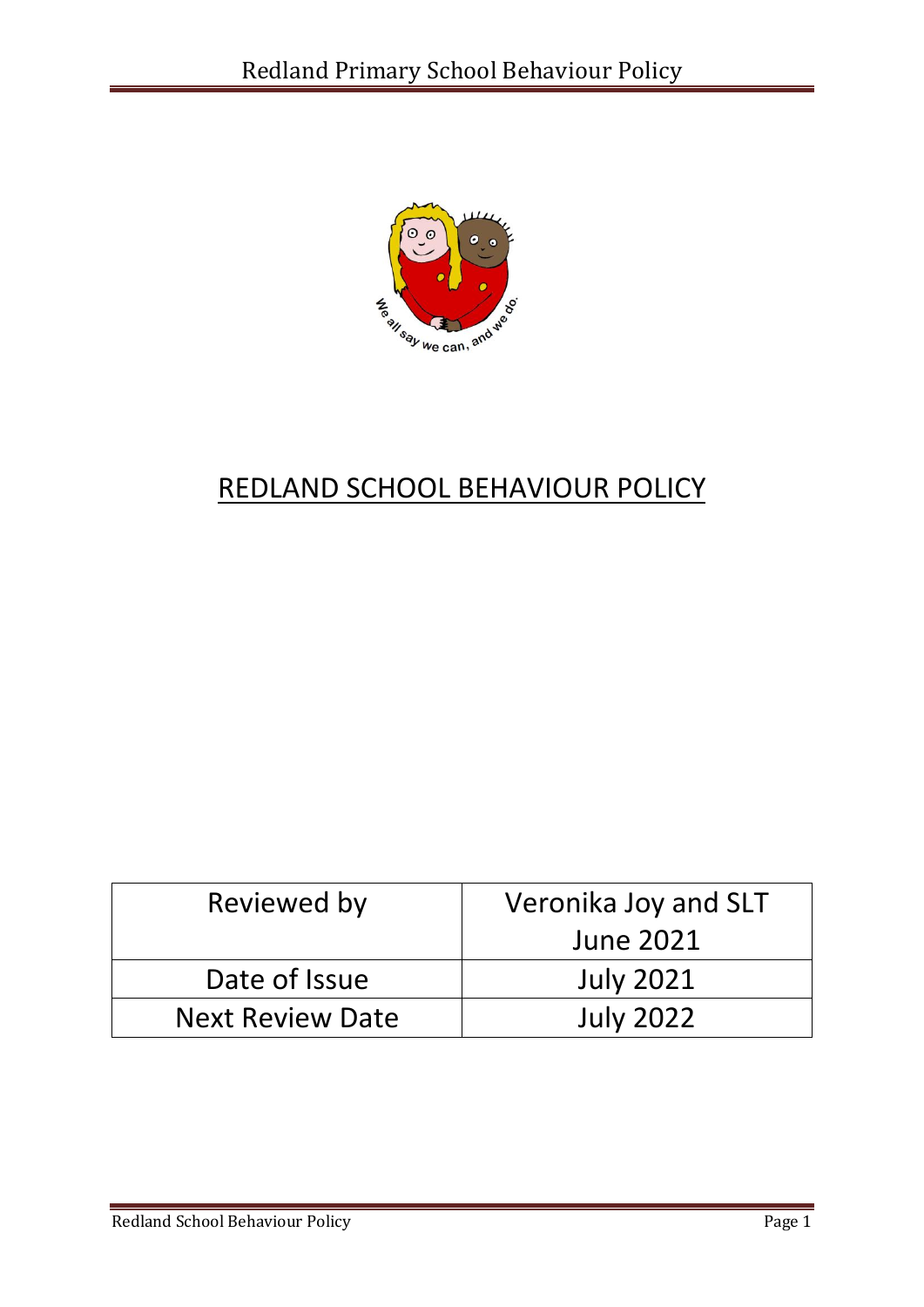

# REDLAND SCHOOL BEHAVIOUR POLICY

| Reviewed by             | Veronika Joy and SLT |
|-------------------------|----------------------|
|                         | <b>June 2021</b>     |
| Date of Issue           | <b>July 2021</b>     |
| <b>Next Review Date</b> | <b>July 2022</b>     |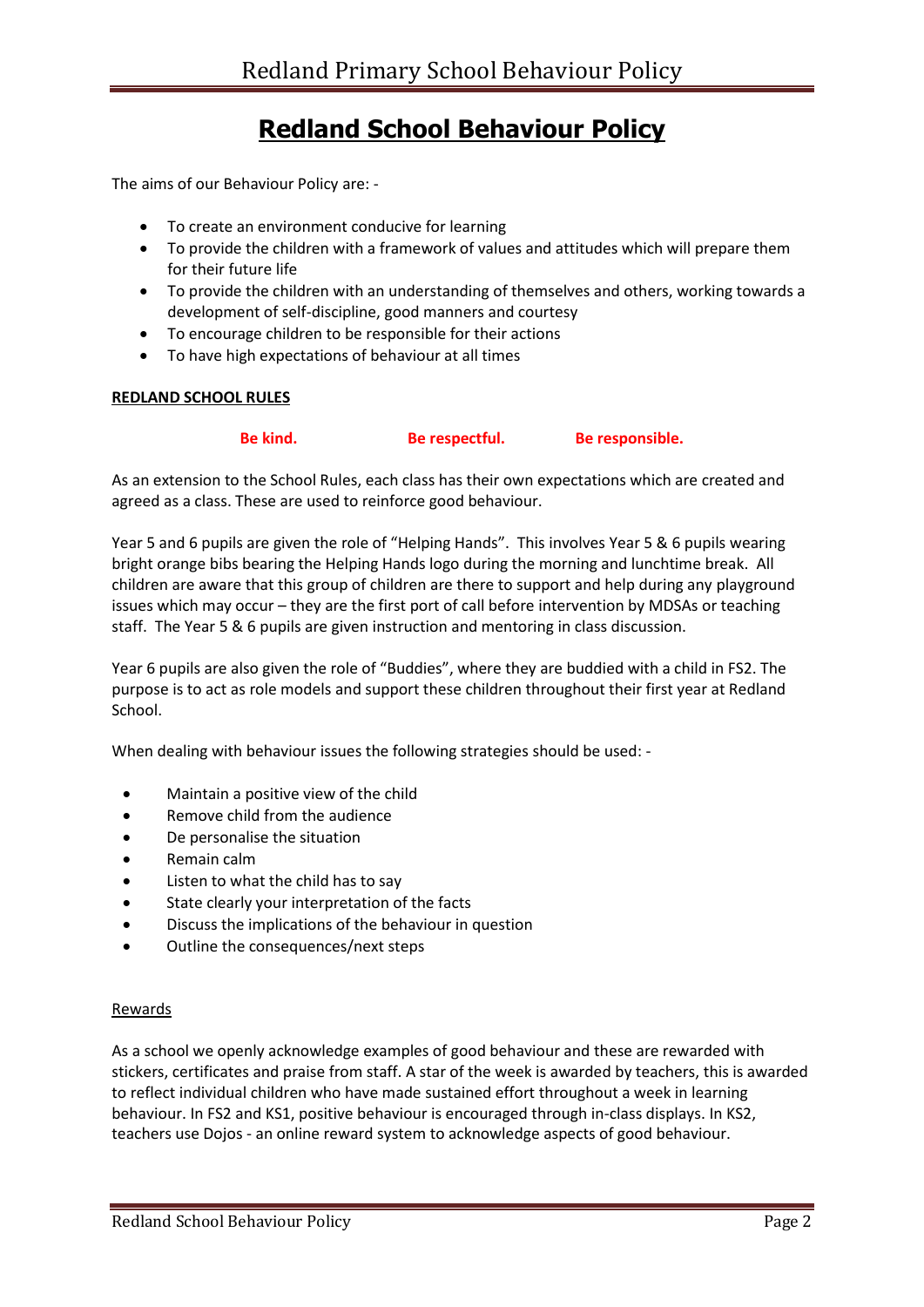# **Redland School Behaviour Policy**

The aims of our Behaviour Policy are: -

- To create an environment conducive for learning
- To provide the children with a framework of values and attitudes which will prepare them for their future life
- To provide the children with an understanding of themselves and others, working towards a development of self-discipline, good manners and courtesy
- To encourage children to be responsible for their actions
- To have high expectations of behaviour at all times

#### **REDLAND SCHOOL RULES**

| Be kind. | Be respectful. | Be responsible. |
|----------|----------------|-----------------|
|----------|----------------|-----------------|

As an extension to the School Rules, each class has their own expectations which are created and agreed as a class. These are used to reinforce good behaviour.

Year 5 and 6 pupils are given the role of "Helping Hands". This involves Year 5 & 6 pupils wearing bright orange bibs bearing the Helping Hands logo during the morning and lunchtime break. All children are aware that this group of children are there to support and help during any playground issues which may occur – they are the first port of call before intervention by MDSAs or teaching staff. The Year 5 & 6 pupils are given instruction and mentoring in class discussion.

Year 6 pupils are also given the role of "Buddies", where they are buddied with a child in FS2. The purpose is to act as role models and support these children throughout their first year at Redland School.

When dealing with behaviour issues the following strategies should be used: -

- Maintain a positive view of the child
- Remove child from the audience
- De personalise the situation
- Remain calm
- Listen to what the child has to say
- State clearly your interpretation of the facts
- Discuss the implications of the behaviour in question
- Outline the consequences/next steps

#### Rewards

As a school we openly acknowledge examples of good behaviour and these are rewarded with stickers, certificates and praise from staff. A star of the week is awarded by teachers, this is awarded to reflect individual children who have made sustained effort throughout a week in learning behaviour. In FS2 and KS1, positive behaviour is encouraged through in-class displays. In KS2, teachers use Dojos - an online reward system to acknowledge aspects of good behaviour.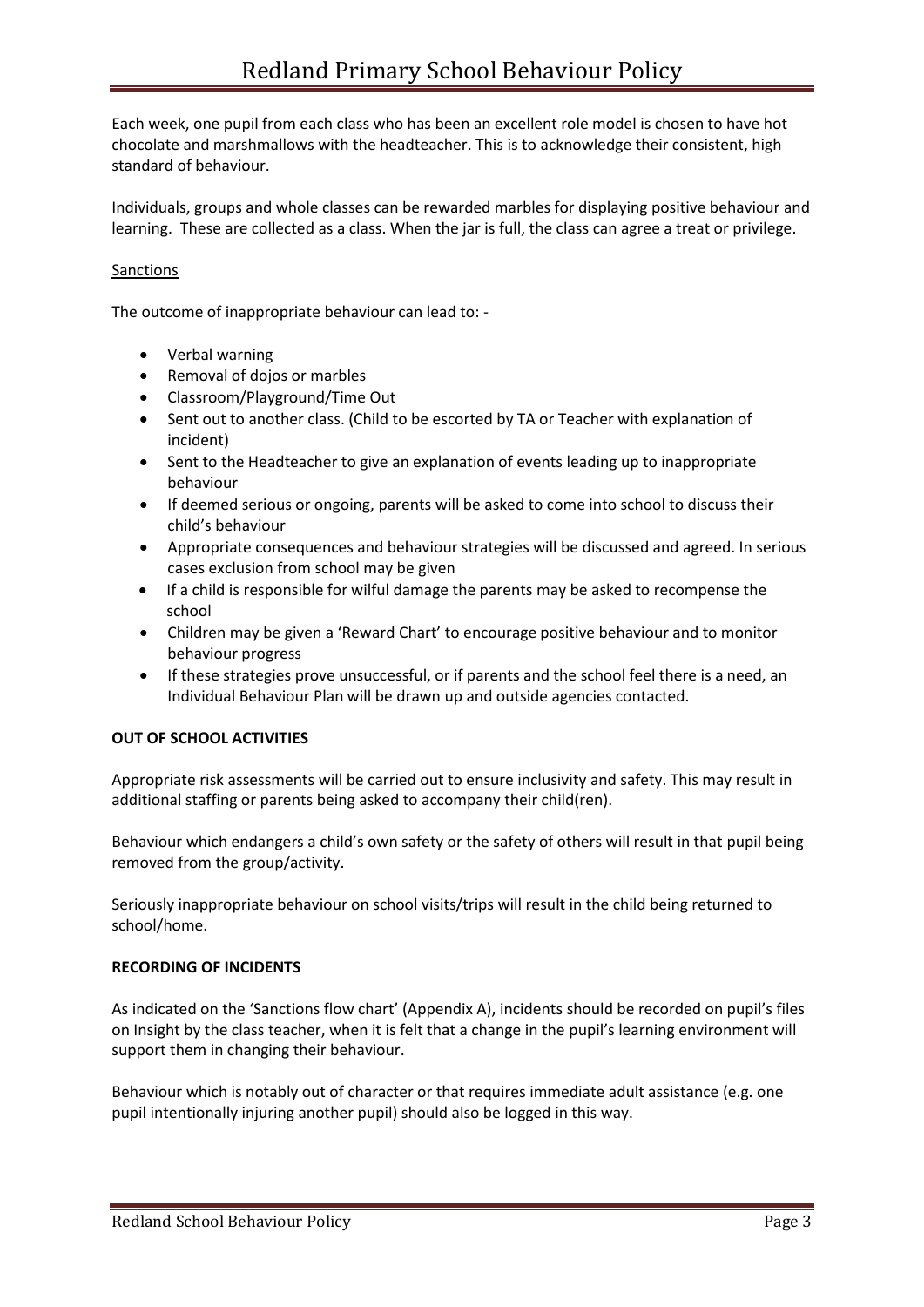Each week, one pupil from each class who has been an excellent role model is chosen to have hot chocolate and marshmallows with the headteacher. This is to acknowledge their consistent, high standard of behaviour.

Individuals, groups and whole classes can be rewarded marbles for displaying positive behaviour and learning. These are collected as a class. When the jar is full, the class can agree a treat or privilege.

# Sanctions

The outcome of inappropriate behaviour can lead to: -

- Verbal warning
- Removal of dojos or marbles
- Classroom/Playground/Time Out
- Sent out to another class. (Child to be escorted by TA or Teacher with explanation of incident)
- Sent to the Headteacher to give an explanation of events leading up to inappropriate behaviour
- If deemed serious or ongoing, parents will be asked to come into school to discuss their child's behaviour
- Appropriate consequences and behaviour strategies will be discussed and agreed. In serious cases exclusion from school may be given
- If a child is responsible for wilful damage the parents may be asked to recompense the school
- Children may be given a 'Reward Chart' to encourage positive behaviour and to monitor behaviour progress
- If these strategies prove unsuccessful, or if parents and the school feel there is a need, an Individual Behaviour Plan will be drawn up and outside agencies contacted.

## **OUT OF SCHOOL ACTIVITIES**

Appropriate risk assessments will be carried out to ensure inclusivity and safety. This may result in additional staffing or parents being asked to accompany their child(ren).

Behaviour which endangers a child's own safety or the safety of others will result in that pupil being removed from the group/activity.

Seriously inappropriate behaviour on school visits/trips will result in the child being returned to school/home.

#### **RECORDING OF INCIDENTS**

As indicated on the 'Sanctions flow chart' (Appendix A), incidents should be recorded on pupil's files on Insight by the class teacher, when it is felt that a change in the pupil's learning environment will support them in changing their behaviour.

Behaviour which is notably out of character or that requires immediate adult assistance (e.g. one pupil intentionally injuring another pupil) should also be logged in this way.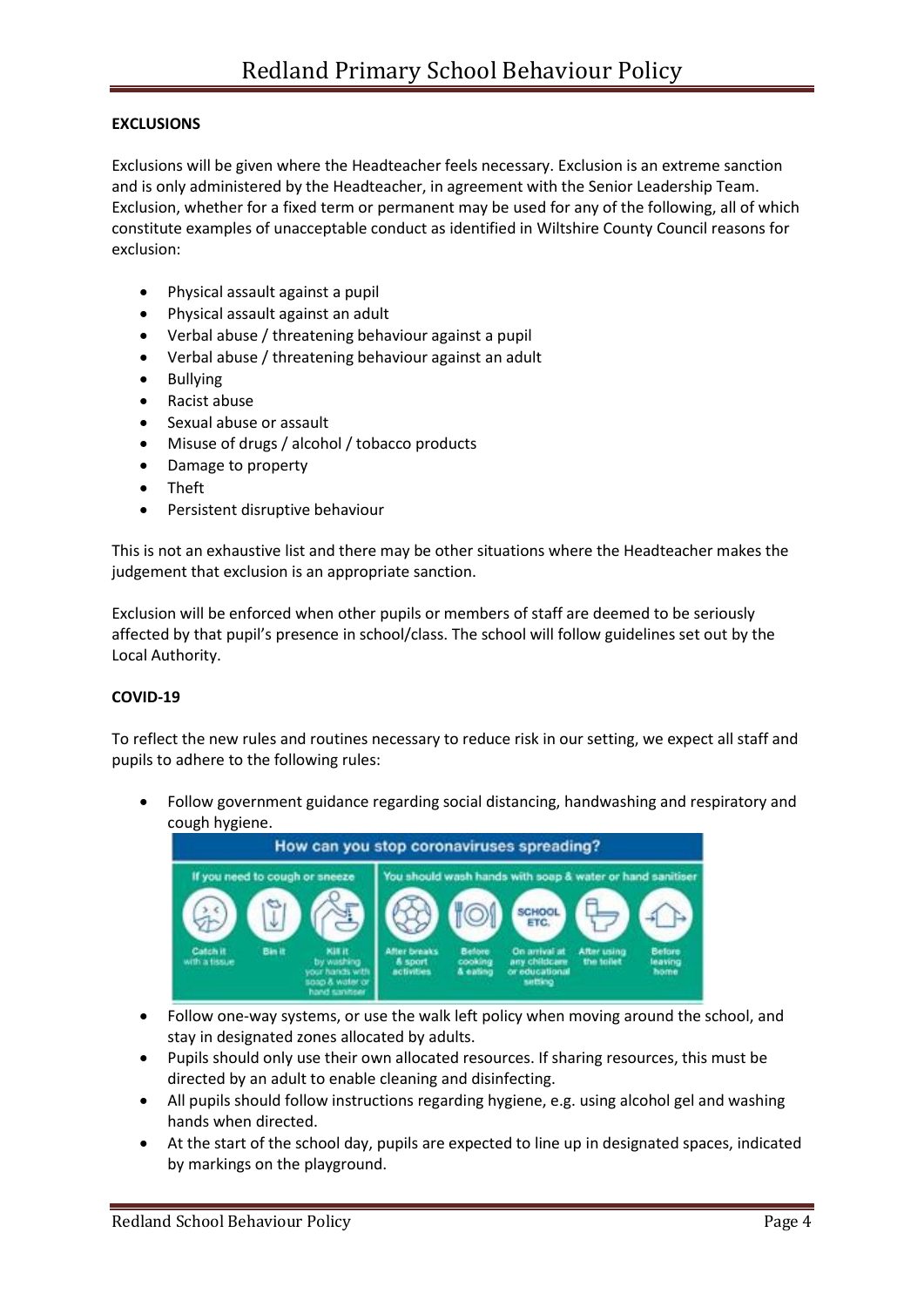## **EXCLUSIONS**

Exclusions will be given where the Headteacher feels necessary. Exclusion is an extreme sanction and is only administered by the Headteacher, in agreement with the Senior Leadership Team. Exclusion, whether for a fixed term or permanent may be used for any of the following, all of which constitute examples of unacceptable conduct as identified in Wiltshire County Council reasons for exclusion:

- Physical assault against a pupil
- Physical assault against an adult
- Verbal abuse / threatening behaviour against a pupil
- Verbal abuse / threatening behaviour against an adult
- Bullying
- Racist abuse
- Sexual abuse or assault
- Misuse of drugs / alcohol / tobacco products
- Damage to property
- Theft
- Persistent disruptive behaviour

This is not an exhaustive list and there may be other situations where the Headteacher makes the judgement that exclusion is an appropriate sanction.

Exclusion will be enforced when other pupils or members of staff are deemed to be seriously affected by that pupil's presence in school/class. The school will follow guidelines set out by the Local Authority.

#### **COVID-19**

To reflect the new rules and routines necessary to reduce risk in our setting, we expect all staff and pupils to adhere to the following rules:

• Follow government guidance regarding social distancing, handwashing and respiratory and cough hygiene.



- Follow one-way systems, or use the walk left policy when moving around the school, and stay in designated zones allocated by adults.
- Pupils should only use their own allocated resources. If sharing resources, this must be directed by an adult to enable cleaning and disinfecting.
- All pupils should follow instructions regarding hygiene, e.g. using alcohol gel and washing hands when directed.
- At the start of the school day, pupils are expected to line up in designated spaces, indicated by markings on the playground.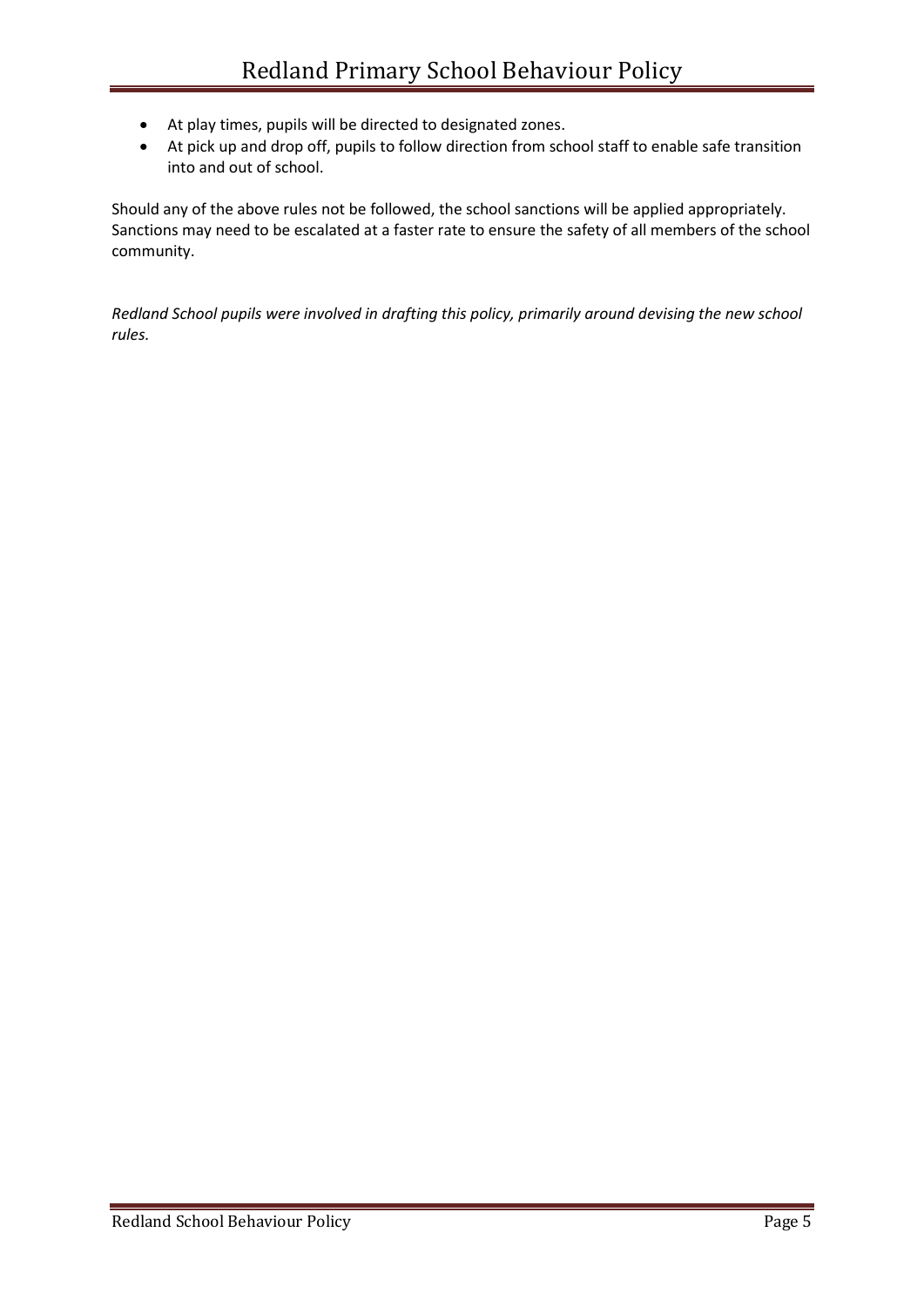- At play times, pupils will be directed to designated zones.
- At pick up and drop off, pupils to follow direction from school staff to enable safe transition into and out of school.

Should any of the above rules not be followed, the school sanctions will be applied appropriately. Sanctions may need to be escalated at a faster rate to ensure the safety of all members of the school community.

*Redland School pupils were involved in drafting this policy, primarily around devising the new school rules.*